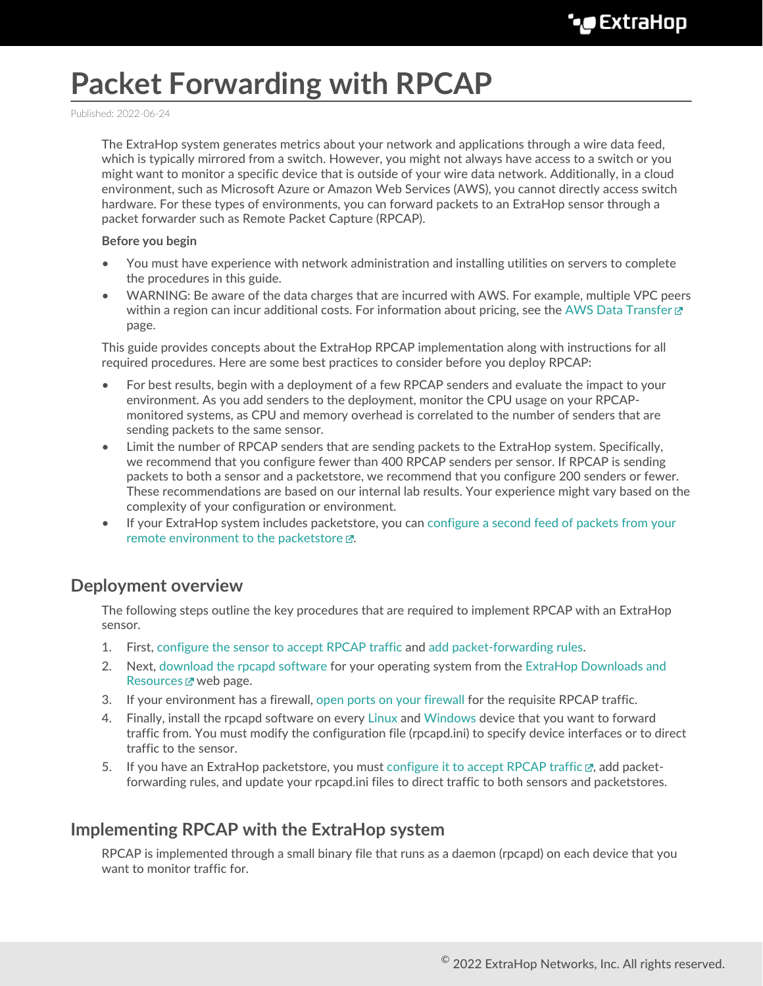# **Packet Forwarding with RPCAP**

Published: 2022-06-24

The ExtraHop system generates metrics about your network and applications through a wire data feed, which is typically mirrored from a switch. However, you might not always have access to a switch or you might want to monitor a specific device that is outside of your wire data network. Additionally, in a cloud environment, such as Microsoft Azure or Amazon Web Services (AWS), you cannot directly access switch hardware. For these types of environments, you can forward packets to an ExtraHop sensor through a packet forwarder such as Remote Packet Capture (RPCAP).

#### **Before you begin**

- You must have experience with network administration and installing utilities on servers to complete the procedures in this guide.
- WARNING: Be aware of the data charges that are incurred with AWS. For example, multiple VPC peers within a region can incur additional costs. For information about pricing, see the [AWS Data Transfer](https://aws.amazon.com/ec2/pricing/on-demand/#Data_Transfer)  $\mathbb Z$ page.

This guide provides concepts about the ExtraHop RPCAP implementation along with instructions for all required procedures. Here are some best practices to consider before you deploy RPCAP:

- For best results, begin with a deployment of a few RPCAP senders and evaluate the impact to your environment. As you add senders to the deployment, monitor the CPU usage on your RPCAPmonitored systems, as CPU and memory overhead is correlated to the number of senders that are sending packets to the same sensor.
- Limit the number of RPCAP senders that are sending packets to the ExtraHop system. Specifically, we recommend that you configure fewer than 400 RPCAP senders per sensor. If RPCAP is sending packets to both a sensor and a packetstore, we recommend that you configure 200 senders or fewer. These recommendations are based on our internal lab results. Your experience might vary based on the complexity of your configuration or environment.
- If your ExtraHop system includes packetstore, you can [configure a second feed of packets from your](https://docs.extrahop.com/8.9/rpcap-eta) remote environment to the packetstore  $\mathbb{Z}$ .

### **Deployment overview**

The following steps outline the key procedures that are required to implement RPCAP with an ExtraHop sensor.

- 1. First, [configure the sensor to accept RPCAP traffic](#page-1-0) and [add packet-forwarding rules.](#page-2-0)
- 2. Next, [download the rpcapd software](#page-3-0) for your operating system from the [ExtraHop Downloads and](https://customers.extrahop.com/downloads/forwarders) [Resources](https://customers.extrahop.com/downloads/forwarders) M web page.
- 3. If your environment has a firewall, [open ports on your firewall](#page-12-0) for the requisite RPCAP traffic.
- 4. Finally, install the rpcapd software on every [Linux](#page-4-0) and [Windows](#page-6-0) device that you want to forward traffic from. You must modify the configuration file (rpcapd.ini) to specify device interfaces or to direct traffic to the sensor.
- 5. If you have an ExtraHop packetstore, you must [configure it to accept RPCAP traffic](https://docs.extrahop.com/8.9/rpcap-eta)  $\mathbb{F}_q$ , add packetforwarding rules, and update your rpcapd.ini files to direct traffic to both sensors and packetstores.

### **Implementing RPCAP with the ExtraHop system**

RPCAP is implemented through a small binary file that runs as a daemon (rpcapd) on each device that you want to monitor traffic for.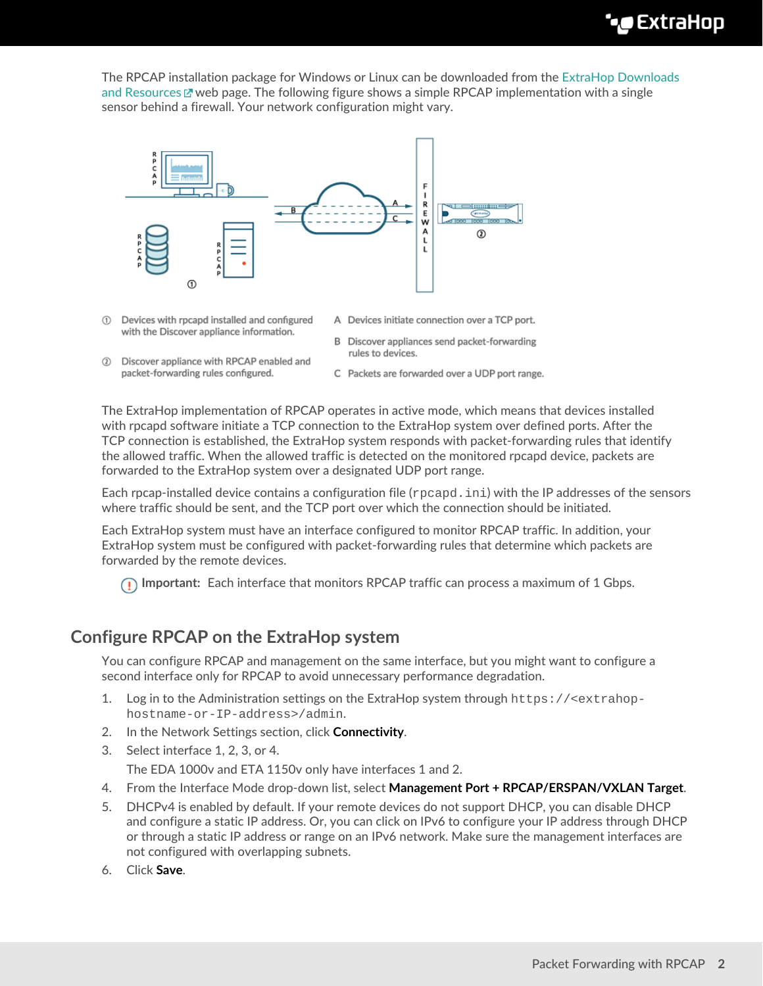The RPCAP installation package for Windows or Linux can be downloaded from the [ExtraHop Downloads](https://customers.extrahop.com/downloads/forwarders) [and Resources](https://customers.extrahop.com/downloads/forwarders)  $\mathbb Z$  web page. The following figure shows a simple RPCAP implementation with a single sensor behind a firewall. Your network configuration might vary.



- 1 Devices with rpcapd installed and configured with the Discover appliance information.
- 2 Discover appliance with RPCAP enabled and packet-forwarding rules configured.
- A Devices initiate connection over a TCP port.
- B Discover appliances send packet-forwarding rules to devices.
- C Packets are forwarded over a UDP port range.

The ExtraHop implementation of RPCAP operates in active mode, which means that devices installed with rpcapd software initiate a TCP connection to the ExtraHop system over defined ports. After the TCP connection is established, the ExtraHop system responds with packet-forwarding rules that identify the allowed traffic. When the allowed traffic is detected on the monitored rpcapd device, packets are forwarded to the ExtraHop system over a designated UDP port range.

Each rpcap-installed device contains a configuration file (rpcapd.ini) with the IP addresses of the sensors where traffic should be sent, and the TCP port over which the connection should be initiated.

Each ExtraHop system must have an interface configured to monitor RPCAP traffic. In addition, your ExtraHop system must be configured with packet-forwarding rules that determine which packets are forwarded by the remote devices.

**Important:** Each interface that monitors RPCAP traffic can process a maximum of 1 Gbps.

# <span id="page-1-0"></span>**Configure RPCAP on the ExtraHop system**

You can configure RPCAP and management on the same interface, but you might want to configure a second interface only for RPCAP to avoid unnecessary performance degradation.

- 1. Log in to the Administration settings on the ExtraHop system through https://<extrahophostname-or-IP-address>/admin.
- 2. In the Network Settings section, click **Connectivity**.
- 3. Select interface 1, 2, 3, or 4. The EDA 1000v and ETA 1150v only have interfaces 1 and 2.
- 4. From the Interface Mode drop-down list, select **Management Port + RPCAP/ERSPAN/VXLAN Target**.
- 5. DHCPv4 is enabled by default. If your remote devices do not support DHCP, you can disable DHCP and configure a static IP address. Or, you can click on IPv6 to configure your IP address through DHCP or through a static IP address or range on an IPv6 network. Make sure the management interfaces are not configured with overlapping subnets.
- 6. Click **Save**.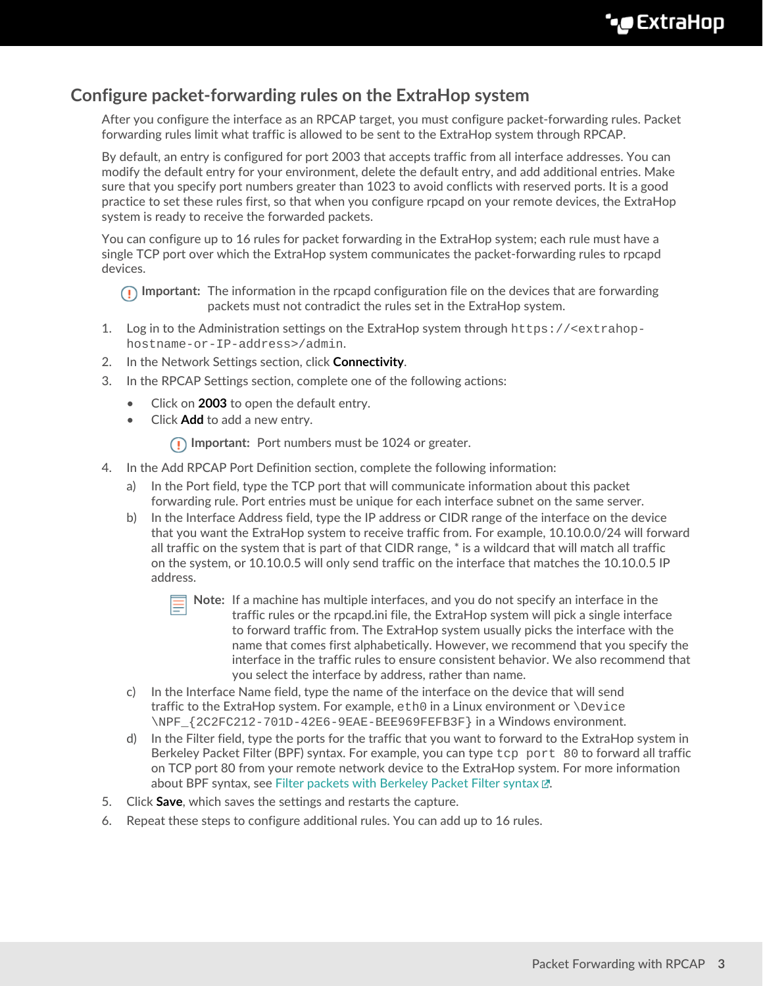# <span id="page-2-0"></span>**Configure packet-forwarding rules on the ExtraHop system**

After you configure the interface as an RPCAP target, you must configure packet-forwarding rules. Packet forwarding rules limit what traffic is allowed to be sent to the ExtraHop system through RPCAP.

By default, an entry is configured for port 2003 that accepts traffic from all interface addresses. You can modify the default entry for your environment, delete the default entry, and add additional entries. Make sure that you specify port numbers greater than 1023 to avoid conflicts with reserved ports. It is a good practice to set these rules first, so that when you configure rpcapd on your remote devices, the ExtraHop system is ready to receive the forwarded packets.

You can configure up to 16 rules for packet forwarding in the ExtraHop system; each rule must have a single TCP port over which the ExtraHop system communicates the packet-forwarding rules to rpcapd devices.

**Important:** The information in the rpcapd configuration file on the devices that are forwarding packets must not contradict the rules set in the ExtraHop system.

- 1. Log in to the Administration settings on the ExtraHop system through https://<extrahophostname-or-IP-address>/admin.
- 2. In the Network Settings section, click **Connectivity**.
- 3. In the RPCAP Settings section, complete one of the following actions:
	- Click on **2003** to open the default entry.
	- Click **Add** to add a new entry.
		- **Important:** Port numbers must be 1024 or greater.
- 4. In the Add RPCAP Port Definition section, complete the following information:
	- a) In the Port field, type the TCP port that will communicate information about this packet forwarding rule. Port entries must be unique for each interface subnet on the same server.
	- b) In the Interface Address field, type the IP address or CIDR range of the interface on the device that you want the ExtraHop system to receive traffic from. For example, 10.10.0.0/24 will forward all traffic on the system that is part of that CIDR range, \* is a wildcard that will match all traffic on the system, or 10.10.0.5 will only send traffic on the interface that matches the 10.10.0.5 IP address.



- **Note:** If a machine has multiple interfaces, and you do not specify an interface in the traffic rules or the rpcapd.ini file, the ExtraHop system will pick a single interface to forward traffic from. The ExtraHop system usually picks the interface with the name that comes first alphabetically. However, we recommend that you specify the interface in the traffic rules to ensure consistent behavior. We also recommend that you select the interface by address, rather than name.
- c) In the Interface Name field, type the name of the interface on the device that will send traffic to the ExtraHop system. For example, eth0 in a Linux environment or \Device \NPF\_{2C2FC212-701D-42E6-9EAE-BEE969FEFB3F} in a Windows environment.
- d) In the Filter field, type the ports for the traffic that you want to forward to the ExtraHop system in Berkeley Packet Filter (BPF) syntax. For example, you can type  $top$  port 80 to forward all traffic on TCP port 80 from your remote network device to the ExtraHop system. For more information about BPF syntax, see [Filter packets with Berkeley Packet Filter syntax](https://docs.extrahop.com/8.9/bpf-syntax) E.
- 5. Click **Save**, which saves the settings and restarts the capture.
- 6. Repeat these steps to configure additional rules. You can add up to 16 rules.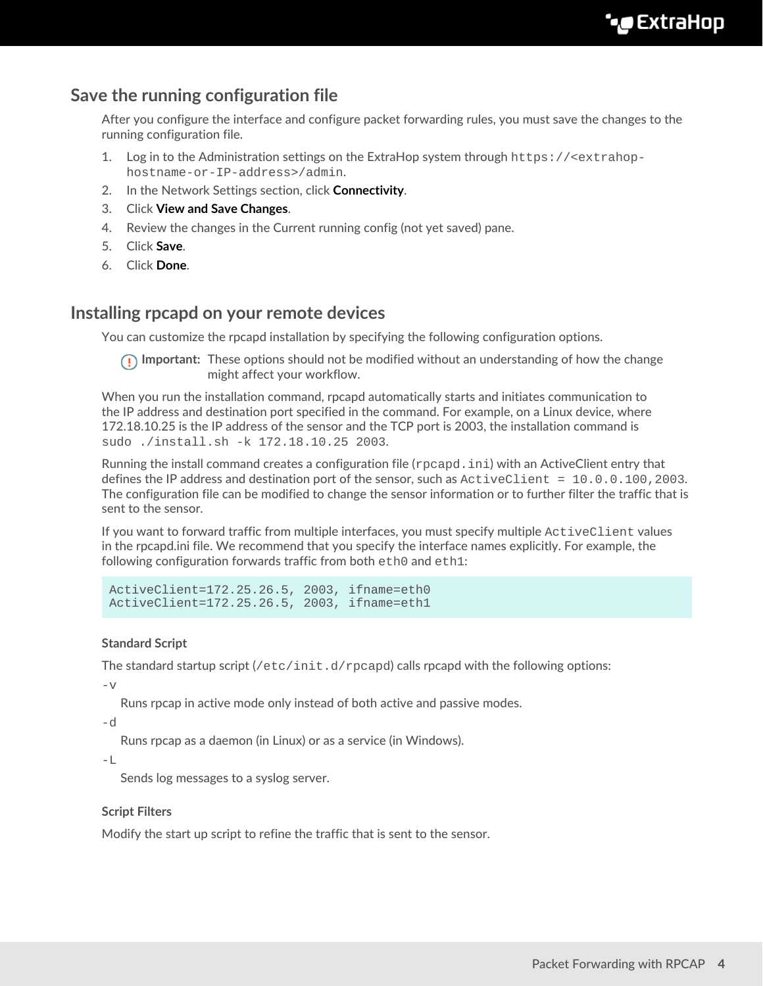# **Save the running configuration file**

After you configure the interface and configure packet forwarding rules, you must save the changes to the running configuration file.

- 1. Log in to the Administration settings on the ExtraHop system through https://<extrahophostname-or-IP-address>/admin.
- 2. In the Network Settings section, click **Connectivity**.
- 3. Click **View and Save Changes**.
- 4. Review the changes in the Current running config (not yet saved) pane.
- 5. Click **Save**.
- 6. Click **Done**.

### <span id="page-3-0"></span>**Installing rpcapd on your remote devices**

You can customize the rpcapd installation by specifying the following configuration options.

**Important:** These options should not be modified without an understanding of how the change might affect your workflow.

When you run the installation command, rpcapd automatically starts and initiates communication to the IP address and destination port specified in the command. For example, on a Linux device, where 172.18.10.25 is the IP address of the sensor and the TCP port is 2003, the installation command is sudo ./install.sh -k 172.18.10.25 2003.

Running the install command creates a configuration file (rpcapd.ini) with an ActiveClient entry that defines the IP address and destination port of the sensor, such as ActiveClient = 10.0.0.100,2003. The configuration file can be modified to change the sensor information or to further filter the traffic that is sent to the sensor.

If you want to forward traffic from multiple interfaces, you must specify multiple ActiveClient values in the rpcapd.ini file. We recommend that you specify the interface names explicitly. For example, the following configuration forwards traffic from both eth0 and eth1:

```
ActiveClient=172.25.26.5, 2003, ifname=eth0
ActiveClient=172.25.26.5, 2003, ifname=eth1
```
### **Standard Script**

The standard startup script  $\frac{\gamma_{\text{etc}}}{\gamma_{\text{etc}}}$  init.d/rpcapd) calls rpcapd with the following options:

 $-\nabla$ 

Runs rpcap in active mode only instead of both active and passive modes.

-d

Runs rpcap as a daemon (in Linux) or as a service (in Windows).

 $-\mathbb{L}$ 

Sends log messages to a syslog server.

### **Script Filters**

Modify the start up script to refine the traffic that is sent to the sensor.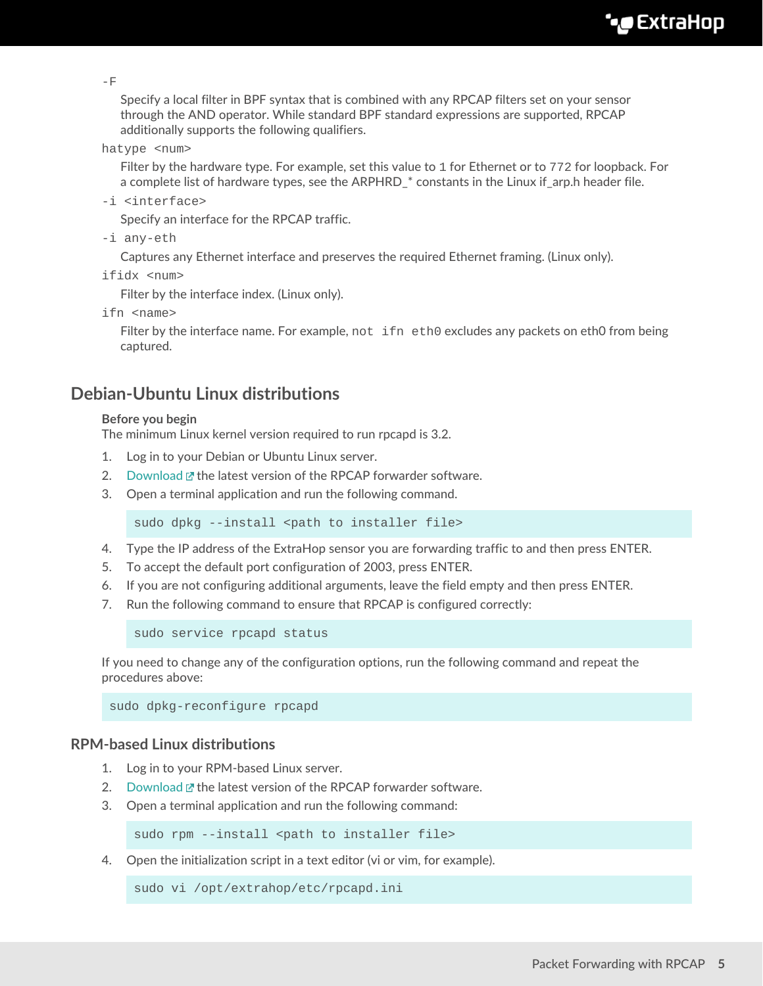$-F$ 

Specify a local filter in BPF syntax that is combined with any RPCAP filters set on your sensor through the AND operator. While standard BPF standard expressions are supported, RPCAP additionally supports the following qualifiers.

hatype <num>

Filter by the hardware type. For example, set this value to 1 for Ethernet or to 772 for loopback. For a complete list of hardware types, see the ARPHRD\_\* constants in the Linux if\_arp.h header file.

-i <interface>

Specify an interface for the RPCAP traffic.

-i any-eth

Captures any Ethernet interface and preserves the required Ethernet framing. (Linux only).

ifidx <num>

Filter by the interface index. (Linux only).

ifn <name>

Filter by the interface name. For example, not ifn eth0 excludes any packets on eth0 from being captured.

## <span id="page-4-0"></span>**Debian-Ubuntu Linux distributions**

#### **Before you begin**

The minimum Linux kernel version required to run rpcapd is 3.2.

- 1. Log in to your Debian or Ubuntu Linux server.
- 2. [Download](https://customers.extrahop.com/downloads/forwarders/)  $\mathbf{r}$  the latest version of the RPCAP forwarder software.
- 3. Open a terminal application and run the following command.

sudo dpkg --install <path to installer file>

- 4. Type the IP address of the ExtraHop sensor you are forwarding traffic to and then press ENTER.
- 5. To accept the default port configuration of 2003, press ENTER.
- 6. If you are not configuring additional arguments, leave the field empty and then press ENTER.
- 7. Run the following command to ensure that RPCAP is configured correctly:

sudo service rpcapd status

If you need to change any of the configuration options, run the following command and repeat the procedures above:

sudo dpkg-reconfigure rpcapd

### **RPM-based Linux distributions**

- 1. Log in to your RPM-based Linux server.
- 2. [Download](https://customers.extrahop.com/downloads/forwarders/)  $\mathbb{Z}$  the latest version of the RPCAP forwarder software.
- 3. Open a terminal application and run the following command:

sudo rpm --install <path to installer file>

4. Open the initialization script in a text editor (vi or vim, for example).

sudo vi /opt/extrahop/etc/rpcapd.ini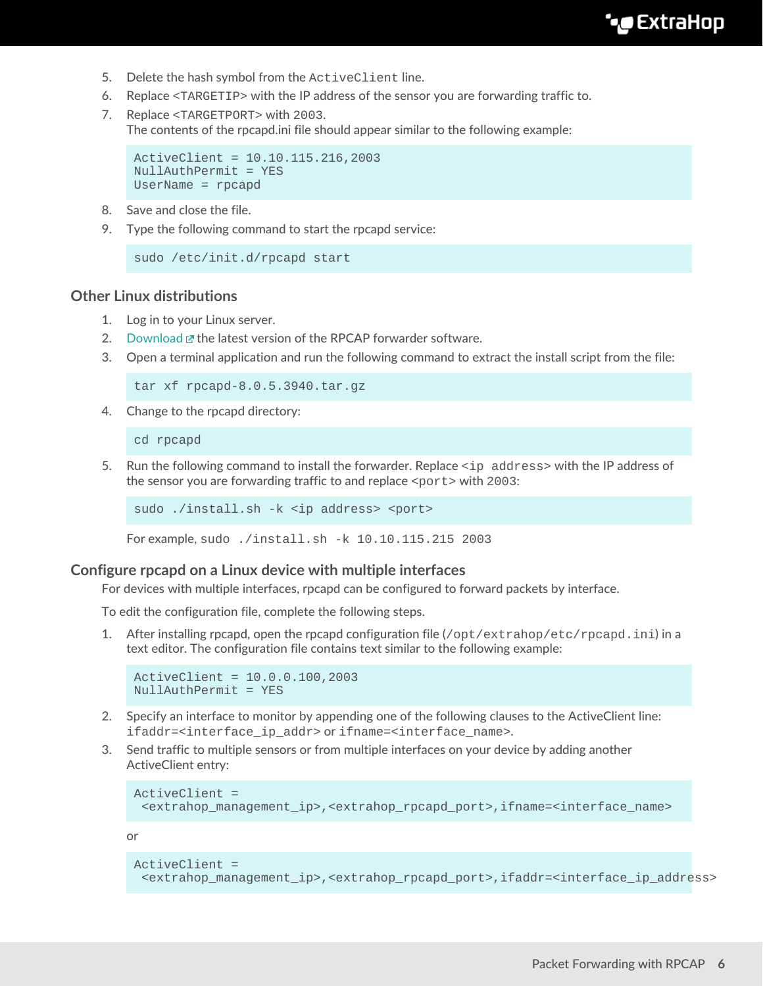- 5. Delete the hash symbol from the ActiveClient line.
- 6. Replace <TARGETIP> with the IP address of the sensor you are forwarding traffic to.
- 7. Replace <TARGETPORT> with 2003. The contents of the rpcapd.ini file should appear similar to the following example:

```
ActiveClient = 10.10.115.216,2003
NullAuthPermit = YES
UserName = rpcapd
```
- 8. Save and close the file.
- 9. Type the following command to start the rpcapd service:

```
sudo /etc/init.d/rpcapd start
```
### **Other Linux distributions**

- 1. Log in to your Linux server.
- 2. [Download](https://customers.extrahop.com/downloads/forwarders/)  $\mathbb{F}$  the latest version of the RPCAP forwarder software.
- 3. Open a terminal application and run the following command to extract the install script from the file:

tar xf rpcapd-8.0.5.3940.tar.gz

4. Change to the rpcapd directory:

cd rpcapd

5. Run the following command to install the forwarder. Replace <ip address> with the IP address of the sensor you are forwarding traffic to and replace  $\epsilon_{\text{port}}$  with 2003:

```
sudo ./install.sh -k <ip address> <port>
```
For example, sudo ./install.sh -k 10.10.115.215 2003

### **Configure rpcapd on a Linux device with multiple interfaces**

For devices with multiple interfaces, rpcapd can be configured to forward packets by interface.

To edit the configuration file, complete the following steps.

1. After installing rpcapd, open the rpcapd configuration file  $\frac{\log x}{\log x}$  /  $\frac{\log x}{\log x}$  and  $\frac{\log x}{\log x}$  in a text editor. The configuration file contains text similar to the following example:

```
ActiveClient = 10.0.0.100,2003
NullAuthPermit = YES
```
- 2. Specify an interface to monitor by appending one of the following clauses to the ActiveClient line: ifaddr=<interface\_ip\_addr> or ifname=<interface\_name>.
- 3. Send traffic to multiple sensors or from multiple interfaces on your device by adding another ActiveClient entry:

```
ActiveClient =
  <extrahop_management_ip>,<extrahop_rpcapd_port>,ifname=<interface_name>
```
or

```
ActiveClient =
  <extrahop_management_ip>,<extrahop_rpcapd_port>,ifaddr=<interface_ip_address>
```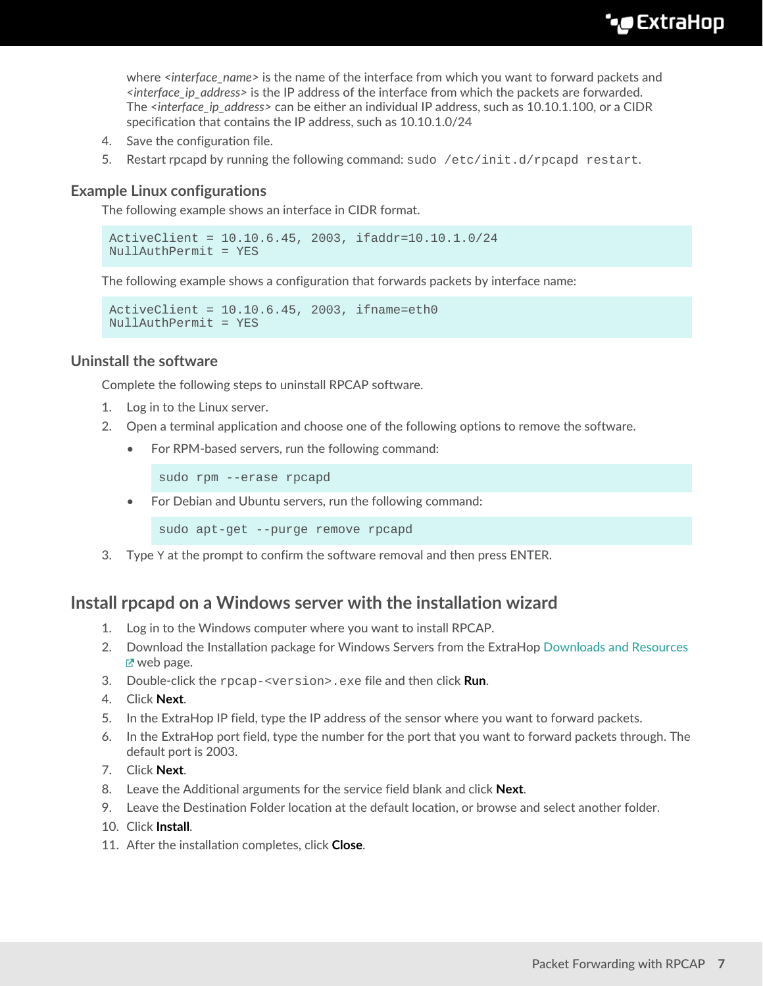**∙e** ExtraHop

where *<interface\_name>* is the name of the interface from which you want to forward packets and *<interface\_ip\_address>* is the IP address of the interface from which the packets are forwarded. The *<interface\_ip\_address>* can be either an individual IP address, such as 10.10.1.100, or a CIDR specification that contains the IP address, such as 10.10.1.0/24

- 4. Save the configuration file.
- 5. Restart rpcapd by running the following command: sudo /etc/init.d/rpcapd restart.

### **Example Linux configurations**

The following example shows an interface in CIDR format.

ActiveClient = 10.10.6.45, 2003, ifaddr=10.10.1.0/24 NullAuthPermit = YES

The following example shows a configuration that forwards packets by interface name:

ActiveClient = 10.10.6.45, 2003, ifname=eth0 NullAuthPermit = YES

### **Uninstall the software**

Complete the following steps to uninstall RPCAP software.

- 1. Log in to the Linux server.
- 2. Open a terminal application and choose one of the following options to remove the software.
	- For RPM-based servers, run the following command:

sudo rpm --erase rpcapd

• For Debian and Ubuntu servers, run the following command:

sudo apt-get --purge remove rpcapd

3. Type  $Y$  at the prompt to confirm the software removal and then press ENTER.

### <span id="page-6-0"></span>**Install rpcapd on a Windows server with the installation wizard**

- 1. Log in to the Windows computer where you want to install RPCAP.
- 2. Download the Installation package for Windows Servers from the ExtraHop [Downloads and Resources](https://customers.extrahop.com/downloads/forwarders) Mebpage.
- 3. Double-click the rpcap-<version>.exe file and then click **Run**.
- 4. Click **Next**.
- 5. In the ExtraHop IP field, type the IP address of the sensor where you want to forward packets.
- 6. In the ExtraHop port field, type the number for the port that you want to forward packets through. The default port is 2003.
- 7. Click **Next**.
- 8. Leave the Additional arguments for the service field blank and click **Next**.
- 9. Leave the Destination Folder location at the default location, or browse and select another folder.
- 10. Click **Install**.
- 11. After the installation completes, click **Close**.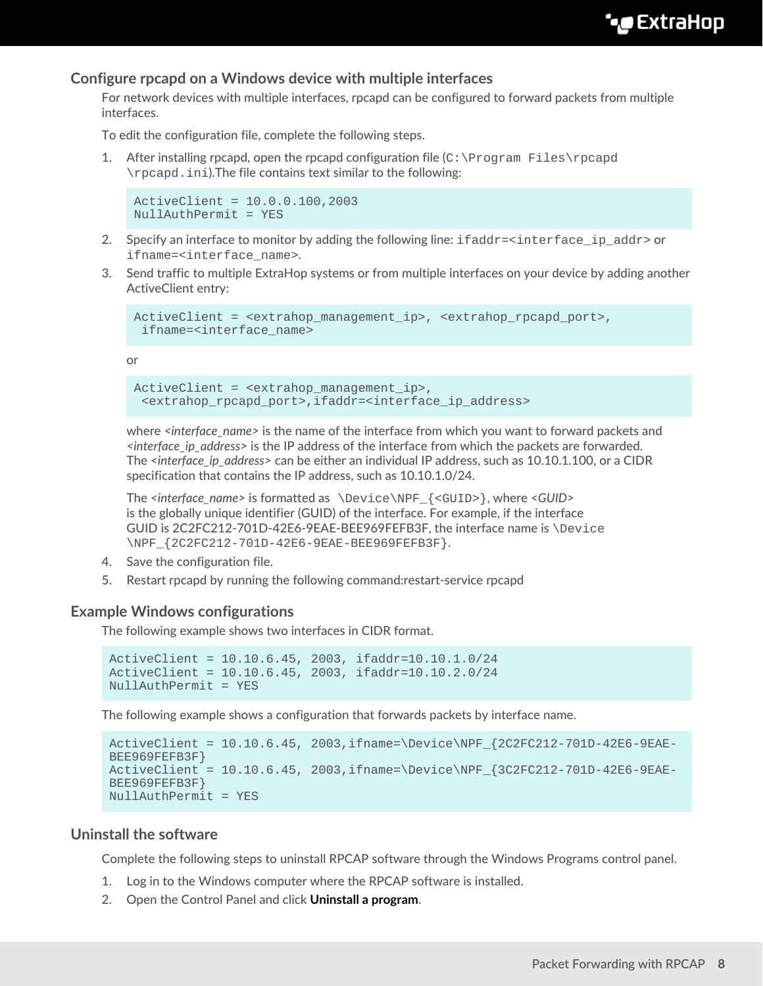### **Configure rpcapd on a Windows device with multiple interfaces**

For network devices with multiple interfaces, rpcapd can be configured to forward packets from multiple interfaces.

To edit the configuration file, complete the following steps.

1. After installing rpcapd, open the rpcapd configuration file  $(C:\Perogram \ Files\reap{P}$ \rpcapd.ini).The file contains text similar to the following:

```
ActiveClient = 10.0.0.100,2003
NullAuthPermit = YES
```
- 2. Specify an interface to monitor by adding the following line: ifaddr=<interface\_ip\_addr> or ifname=<interface\_name>.
- 3. Send traffic to multiple ExtraHop systems or from multiple interfaces on your device by adding another ActiveClient entry:

```
ActiveClient = <extrahop_management_ip>, <extrahop_rpcapd_port>,
  ifname=<interface_name>
```
or

```
ActiveClient = <extrahop_management_ip>,
  <extrahop_rpcapd_port>,ifaddr=<interface_ip_address>
```
where *<interface\_name>* is the name of the interface from which you want to forward packets and *<interface\_ip\_address>* is the IP address of the interface from which the packets are forwarded. The *<interface ip address>* can be either an individual IP address, such as 10.10.1.100, or a CIDR specification that contains the IP address, such as 10.10.1.0/24.

The *<interface\_name>* is formatted as \Device\NPF\_{<GUID>}, where *<GUID>* is the globally unique identifier (GUID) of the interface. For example, if the interface GUID is 2C2FC212-701D-42E6-9EAE-BEE969FEFB3F, the interface name is \Device \NPF\_{2C2FC212-701D-42E6-9EAE-BEE969FEFB3F}.

- 4. Save the configuration file.
- 5. Restart rpcapd by running the following command:restart-service rpcapd

### **Example Windows configurations**

The following example shows two interfaces in CIDR format.

```
ActiveClient = 10.10.6.45, 2003, ifaddr=10.10.1.0/24
ActiveClient = 10.10.6.45, 2003, ifaddr=10.10.2.0/24
NullAuthPermit = YES
```
The following example shows a configuration that forwards packets by interface name.

```
ActiveClient = 10.10.6.45, 2003,ifname=\Device\NPF_{2C2FC212-701D-42E6-9EAE-
BEE969FEFB3F}
ActiveClient = 10.10.6.45, 2003,ifname=\Device\NPF_{3C2FC212-701D-42E6-9EAE-
BEE969FEFB3F}
NullAuthPermit = YES
```
### **Uninstall the software**

Complete the following steps to uninstall RPCAP software through the Windows Programs control panel.

- 1. Log in to the Windows computer where the RPCAP software is installed.
- 2. Open the Control Panel and click **Uninstall a program**.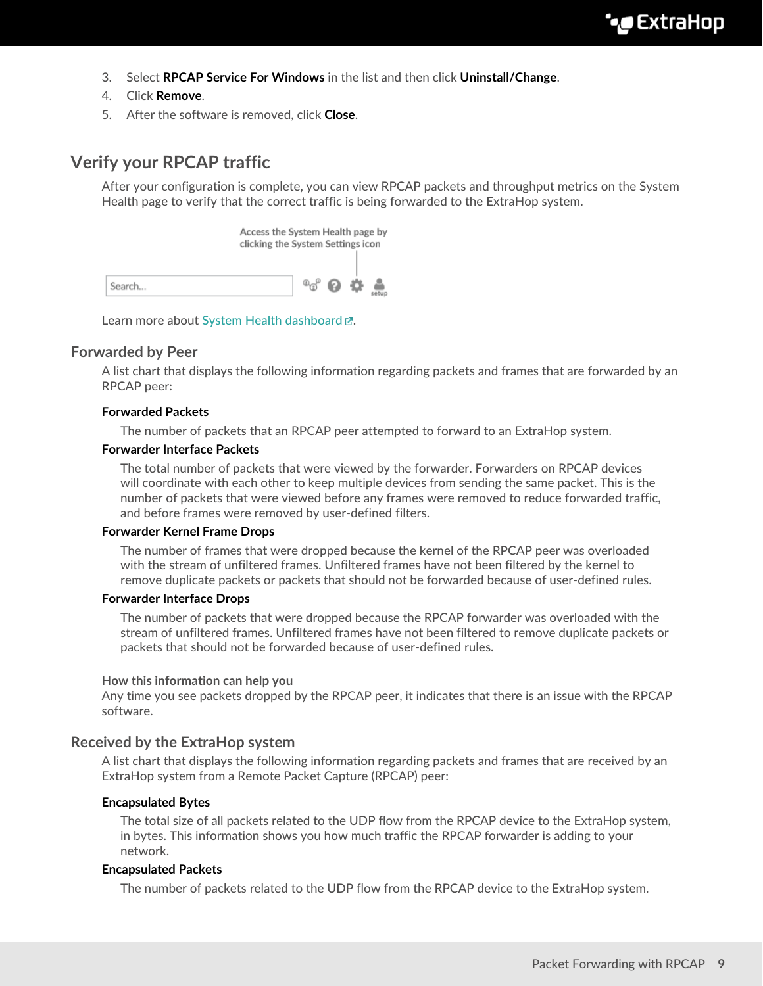- 3. Select **RPCAP Service For Windows** in the list and then click **Uninstall/Change**.
- 4. Click **Remove**.
- 5. After the software is removed, click **Close**.

# **Verify your RPCAP traffic**

After your configuration is complete, you can view RPCAP packets and throughput metrics on the System Health page to verify that the correct traffic is being forwarded to the ExtraHop system.

Access the System Health page by clicking the System Settings icon  $^{\circ}$  $^{\circ}$   $^{\circ}$   $^{\circ}$   $^{\circ}$   $^{\circ}$   $^{\circ}$   $^{\circ}$   $^{\circ}$   $^{\circ}$   $^{\circ}$   $^{\circ}$   $^{\circ}$   $^{\circ}$   $^{\circ}$   $^{\circ}$   $^{\circ}$   $^{\circ}$   $^{\circ}$   $^{\circ}$   $^{\circ}$   $^{\circ}$   $^{\circ}$   $^{\circ}$   $^{\circ}$   $^{\circ}$   $^{\circ}$   $^{\circ}$   $^{\circ}$   $^{\circ}$   $^{\circ}$   $^{\circ}$ Search...

Learn more about [System Health dashboard .](https://docs.extrahop.com/8.9/system-health-overview)..

### **Forwarded by Peer**

A list chart that displays the following information regarding packets and frames that are forwarded by an RPCAP peer:

### **Forwarded Packets**

The number of packets that an RPCAP peer attempted to forward to an ExtraHop system.

### **Forwarder Interface Packets**

The total number of packets that were viewed by the forwarder. Forwarders on RPCAP devices will coordinate with each other to keep multiple devices from sending the same packet. This is the number of packets that were viewed before any frames were removed to reduce forwarded traffic, and before frames were removed by user-defined filters.

### **Forwarder Kernel Frame Drops**

The number of frames that were dropped because the kernel of the RPCAP peer was overloaded with the stream of unfiltered frames. Unfiltered frames have not been filtered by the kernel to remove duplicate packets or packets that should not be forwarded because of user-defined rules.

### **Forwarder Interface Drops**

The number of packets that were dropped because the RPCAP forwarder was overloaded with the stream of unfiltered frames. Unfiltered frames have not been filtered to remove duplicate packets or packets that should not be forwarded because of user-defined rules.

### **How this information can help you**

Any time you see packets dropped by the RPCAP peer, it indicates that there is an issue with the RPCAP software.

### **Received by the ExtraHop system**

A list chart that displays the following information regarding packets and frames that are received by an ExtraHop system from a Remote Packet Capture (RPCAP) peer:

### **Encapsulated Bytes**

The total size of all packets related to the UDP flow from the RPCAP device to the ExtraHop system, in bytes. This information shows you how much traffic the RPCAP forwarder is adding to your network.

### **Encapsulated Packets**

The number of packets related to the UDP flow from the RPCAP device to the ExtraHop system.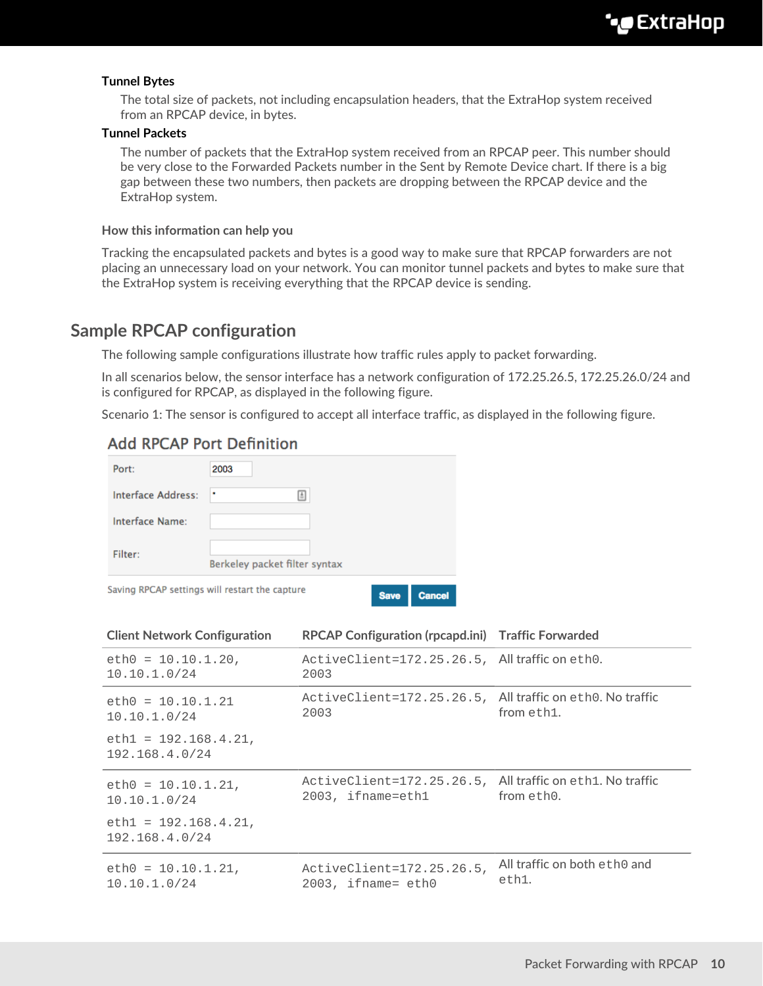### **Tunnel Bytes**

The total size of packets, not including encapsulation headers, that the ExtraHop system received from an RPCAP device, in bytes.

#### **Tunnel Packets**

The number of packets that the ExtraHop system received from an RPCAP peer. This number should be very close to the Forwarded Packets number in the Sent by Remote Device chart. If there is a big gap between these two numbers, then packets are dropping between the RPCAP device and the ExtraHop system.

#### **How this information can help you**

Tracking the encapsulated packets and bytes is a good way to make sure that RPCAP forwarders are not placing an unnecessary load on your network. You can monitor tunnel packets and bytes to make sure that the ExtraHop system is receiving everything that the RPCAP device is sending.

# **Sample RPCAP configuration**

The following sample configurations illustrate how traffic rules apply to packet forwarding.

In all scenarios below, the sensor interface has a network configuration of 172.25.26.5, 172.25.26.0/24 and is configured for RPCAP, as displayed in the following figure.

Scenario 1: The sensor is configured to accept all interface traffic, as displayed in the following figure.

### **Add RPCAP Port Definition**

|                           | Saving RPCAP settings will restart the capture | <b>Save</b> | Cancel |
|---------------------------|------------------------------------------------|-------------|--------|
| Filter:                   | Berkeley packet filter syntax                  |             |        |
| Interface Name:           |                                                |             |        |
| <b>Interface Address:</b> | ۰<br>$\triangleq$                              |             |        |
| Port:                     | 2003                                           |             |        |

| <b>Client Network Configuration</b>       | RPCAP Configuration (rpcapd.ini) Traffic Forwarded                             |                                       |
|-------------------------------------------|--------------------------------------------------------------------------------|---------------------------------------|
| $eth0 = 10.10.1.20$ ,<br>10.10.1.0/24     | ActiveClient=172.25.26.5, All traffic on eth0.<br>2003                         |                                       |
| $eth0 = 10.10.1.21$<br>10.10.1.0/24       | ActiveClient=172.25.26.5, All traffic on eth0. No traffic<br>2003              | from eth1.                            |
| $eth1 = 192.168.4.21,$<br>192.168.4.0/24  |                                                                                |                                       |
| $eth0 = 10.10.1.21$ ,<br>10.10.1.0/24     | ActiveClient=172.25.26.5, All traffic on eth1. No traffic<br>2003, ifname=eth1 | from eth0.                            |
| $eth1 = 192.168.4.21$ ,<br>192.168.4.0/24 |                                                                                |                                       |
| $eth0 = 10.10.1.21$ ,<br>10.10.1.0/24     | ActiveClient=172.25.26.5,<br>$2003$ , ifname= eth $0$                          | All traffic on both eth0 and<br>eth1. |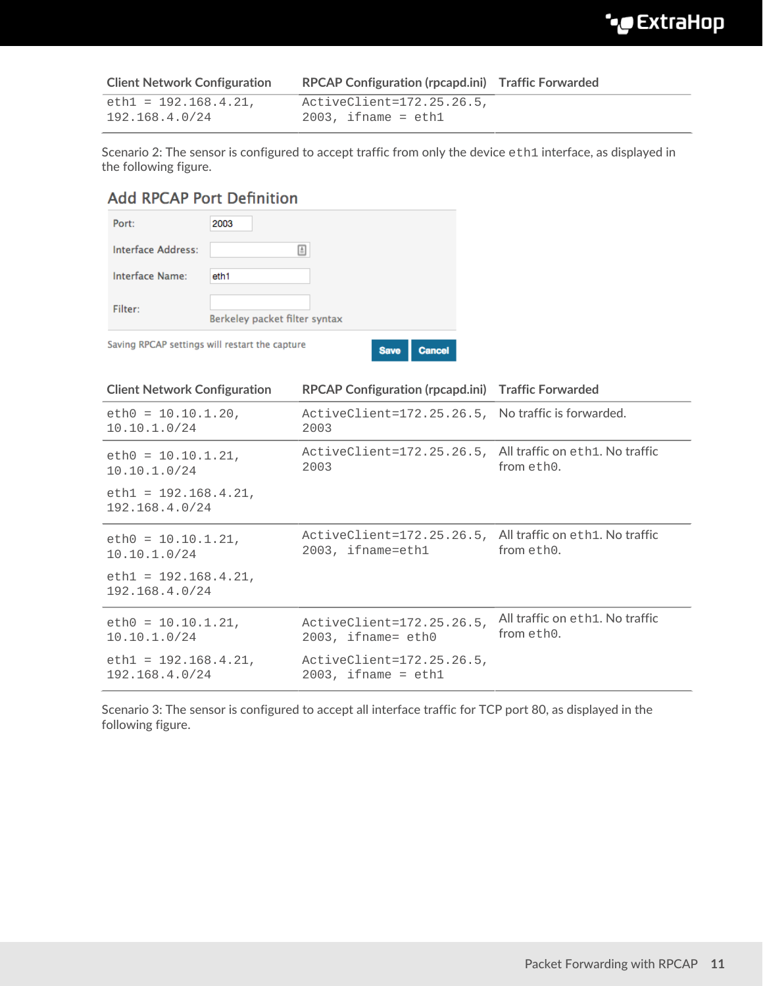| <b>Client Network Configuration</b> | RPCAP Configuration (rpcapd.ini) Traffic Forwarded |  |
|-------------------------------------|----------------------------------------------------|--|
| $eth1 = 192.168.4.21.$              | ActiveClient=172.25.26.5,                          |  |
| 192.168.4.0/24                      | $2003$ , ifname = ethl                             |  |

Scenario 2: The sensor is configured to accept traffic from only the device eth1 interface, as displayed in the following figure.

# **Add RPCAP Port Definition**

| Port:              | 2003                                                                    |
|--------------------|-------------------------------------------------------------------------|
| Interface Address: | A.                                                                      |
| Interface Name:    | eth1                                                                    |
| Filter:            | Berkeley packet filter syntax                                           |
|                    | Saving RPCAP settings will restart the capture<br><b>Save</b><br>Cancel |

| <b>Client Network Configuration</b>       | RPCAP Configuration (rpcapd.ini) Traffic Forwarded                             |                                               |
|-------------------------------------------|--------------------------------------------------------------------------------|-----------------------------------------------|
| $eth0 = 10.10.1.20$ ,<br>10.10.1.0/24     | ActiveClient=172.25.26.5, No traffic is forwarded.<br>2003                     |                                               |
| $eth0 = 10.10.1.21$ ,<br>10.10.1.0/24     | ActiveClient=172.25.26.5, All traffic on eth1. No traffic<br>2003              | from eth0.                                    |
| $eth1 = 192.168.4.21,$<br>192.168.4.0/24  |                                                                                |                                               |
| $eth0 = 10.10.1.21$ ,<br>10.10.1.0/24     | ActiveClient=172.25.26.5, All traffic on eth1. No traffic<br>2003, ifname=eth1 | from eth0.                                    |
| $eth1 = 192.168.4.21$ ,<br>192.168.4.0/24 |                                                                                |                                               |
| $eth0 = 10.10.1.21$ ,<br>10.10.1.0/24     | ActiveClient=172.25.26.5,<br>2003, ifname= eth0                                | All traffic on eth1. No traffic<br>from eth0. |
| $eth1 = 192.168.4.21$ ,<br>192.168.4.0/24 | ActiveClient=172.25.26.5,<br>$2003$ , ifname = ethl                            |                                               |

Scenario 3: The sensor is configured to accept all interface traffic for TCP port 80, as displayed in the following figure.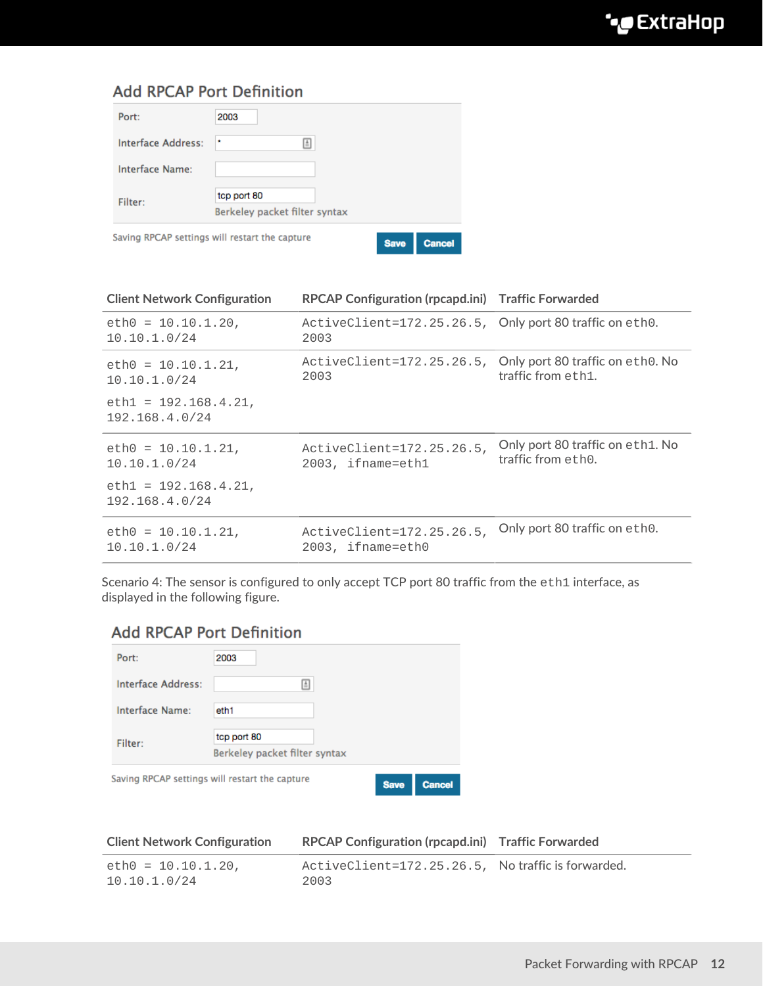# **Add RPCAP Port Definition**

| Port:              | 2003                                                                           |
|--------------------|--------------------------------------------------------------------------------|
| Interface Address: | ۰<br>L.                                                                        |
| Interface Name:    |                                                                                |
| Filter:            | tcp port 80                                                                    |
|                    | Berkeley packet filter syntax                                                  |
|                    | Saving RPCAP settings will restart the capture<br><b>Save</b><br><b>Cancel</b> |

| <b>Client Network Configuration</b>       | RPCAP Configuration (rpcapd.ini) Traffic Forwarded              |                                                        |
|-------------------------------------------|-----------------------------------------------------------------|--------------------------------------------------------|
| $eth0 = 10.10.1.20$ ,<br>10.10.1.0/24     | ActiveClient=172.25.26.5, Only port 80 traffic on eth0.<br>2003 |                                                        |
| $eth0 = 10.10.1.21$ ,<br>10.10.1.0/24     | ActiveClient=172.25.26.5,<br>2003                               | Only port 80 traffic on eth0. No<br>traffic from eth1. |
| $eth1 = 192.168.4.21$ ,<br>192.168.4.0/24 |                                                                 |                                                        |
| $eth0 = 10.10.1.21$ ,<br>10.10.1.0/24     | ActiveClient=172.25.26.5,<br>$2003$ , ifname=eth1               | Only port 80 traffic on eth1. No<br>traffic from eth0. |
| $eth1 = 192.168.4.21$ ,<br>192.168.4.0/24 |                                                                 |                                                        |
| $eth0 = 10.10.1.21$ ,<br>10.10.1.0/24     | ActiveClient=172.25.26.5,<br>2003, ifname=eth0                  | Only port 80 traffic on eth0.                          |

Scenario 4: The sensor is configured to only accept TCP port 80 traffic from the eth1 interface, as displayed in the following figure.

# **Add RPCAP Port Definition**

| Port:                                          | 2003                         |  |
|------------------------------------------------|------------------------------|--|
| Interface Address:                             | l A                          |  |
| Interface Name:                                | eth1                         |  |
| Filter:                                        | tcp port 80                  |  |
| Berkeley packet filter syntax                  |                              |  |
| Saving RPCAP settings will restart the capture | <b>Save</b><br><b>Cancel</b> |  |

| <b>Client Network Configuration</b>  | RPCAP Configuration (rpcapd.ini) Traffic Forwarded         |  |
|--------------------------------------|------------------------------------------------------------|--|
| $eth0 = 10.10.1.20.$<br>10.10.1.0/24 | ActiveClient=172.25.26.5, No traffic is forwarded.<br>2003 |  |